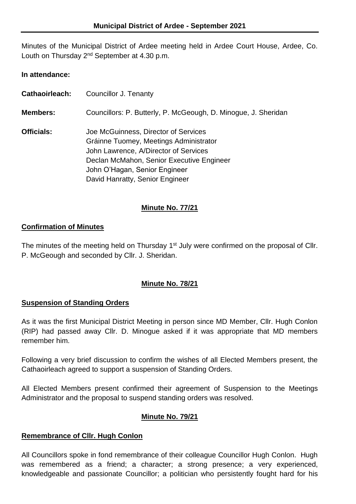Minutes of the Municipal District of Ardee meeting held in Ardee Court House, Ardee, Co. Louth on Thursday 2<sup>nd</sup> September at 4.30 p.m.

#### **In attendance:**

**Cathaoirleach:** Councillor J. Tenanty **Members:** Councillors: P. Butterly, P. McGeough, D. Minogue, J. Sheridan **Officials:** Joe McGuinness, Director of Services Gráinne Tuomey, Meetings Administrator John Lawrence, A/Director of Services Declan McMahon, Senior Executive Engineer John O'Hagan, Senior Engineer David Hanratty, Senior Engineer

## **Minute No. 77/21**

#### **Confirmation of Minutes**

The minutes of the meeting held on Thursday 1<sup>st</sup> July were confirmed on the proposal of Cllr. P. McGeough and seconded by Cllr. J. Sheridan.

## **Minute No. 78/21**

#### **Suspension of Standing Orders**

As it was the first Municipal District Meeting in person since MD Member, Cllr. Hugh Conlon (RIP) had passed away Cllr. D. Minogue asked if it was appropriate that MD members remember him.

Following a very brief discussion to confirm the wishes of all Elected Members present, the Cathaoirleach agreed to support a suspension of Standing Orders.

All Elected Members present confirmed their agreement of Suspension to the Meetings Administrator and the proposal to suspend standing orders was resolved.

## **Minute No. 79/21**

#### **Remembrance of Cllr. Hugh Conlon**

All Councillors spoke in fond remembrance of their colleague Councillor Hugh Conlon. Hugh was remembered as a friend; a character; a strong presence; a very experienced, knowledgeable and passionate Councillor; a politician who persistently fought hard for his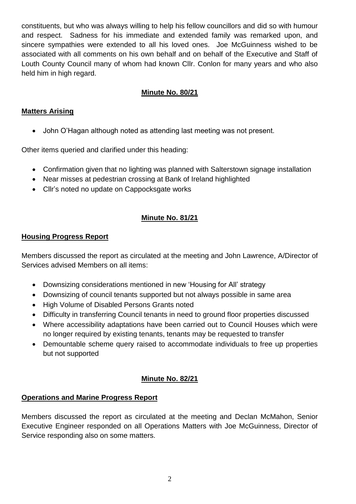constituents, but who was always willing to help his fellow councillors and did so with humour and respect. Sadness for his immediate and extended family was remarked upon, and sincere sympathies were extended to all his loved ones. Joe McGuinness wished to be associated with all comments on his own behalf and on behalf of the Executive and Staff of Louth County Council many of whom had known Cllr. Conlon for many years and who also held him in high regard.

## **Minute No. 80/21**

## **Matters Arising**

John O'Hagan although noted as attending last meeting was not present.

Other items queried and clarified under this heading:

- Confirmation given that no lighting was planned with Salterstown signage installation
- Near misses at pedestrian crossing at Bank of Ireland highlighted
- Cllr's noted no update on Cappocksgate works

# **Minute No. 81/21**

## **Housing Progress Report**

Members discussed the report as circulated at the meeting and John Lawrence, A/Director of Services advised Members on all items:

- Downsizing considerations mentioned in new 'Housing for All' strategy
- Downsizing of council tenants supported but not always possible in same area
- High Volume of Disabled Persons Grants noted
- Difficulty in transferring Council tenants in need to ground floor properties discussed
- Where accessibility adaptations have been carried out to Council Houses which were no longer required by existing tenants, tenants may be requested to transfer
- Demountable scheme query raised to accommodate individuals to free up properties but not supported

## **Minute No. 82/21**

## **Operations and Marine Progress Report**

Members discussed the report as circulated at the meeting and Declan McMahon, Senior Executive Engineer responded on all Operations Matters with Joe McGuinness, Director of Service responding also on some matters.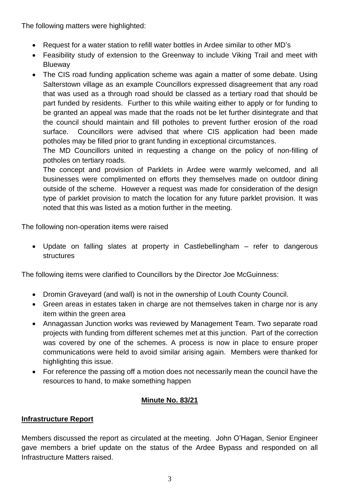The following matters were highlighted:

- Request for a water station to refill water bottles in Ardee similar to other MD's
- Feasibility study of extension to the Greenway to include Viking Trail and meet with Blueway
- The CIS road funding application scheme was again a matter of some debate. Using Salterstown village as an example Councillors expressed disagreement that any road that was used as a through road should be classed as a tertiary road that should be part funded by residents. Further to this while waiting either to apply or for funding to be granted an appeal was made that the roads not be let further disintegrate and that the council should maintain and fill potholes to prevent further erosion of the road surface. Councillors were advised that where CIS application had been made potholes may be filled prior to grant funding in exceptional circumstances.

The MD Councillors united in requesting a change on the policy of non-filling of potholes on tertiary roads.

The concept and provision of Parklets in Ardee were warmly welcomed, and all businesses were complimented on efforts they themselves made on outdoor dining outside of the scheme. However a request was made for consideration of the design type of parklet provision to match the location for any future parklet provision. It was noted that this was listed as a motion further in the meeting.

The following non-operation items were raised

 Update on falling slates at property in Castlebellingham – refer to dangerous **structures** 

The following items were clarified to Councillors by the Director Joe McGuinness:

- Dromin Graveyard (and wall) is not in the ownership of Louth County Council.
- Green areas in estates taken in charge are not themselves taken in charge nor is any item within the green area
- Annagassan Junction works was reviewed by Management Team. Two separate road projects with funding from different schemes met at this junction. Part of the correction was covered by one of the schemes. A process is now in place to ensure proper communications were held to avoid similar arising again. Members were thanked for highlighting this issue.
- For reference the passing off a motion does not necessarily mean the council have the resources to hand, to make something happen

## **Minute No. 83/21**

## **Infrastructure Report**

Members discussed the report as circulated at the meeting. John O'Hagan, Senior Engineer gave members a brief update on the status of the Ardee Bypass and responded on all Infrastructure Matters raised.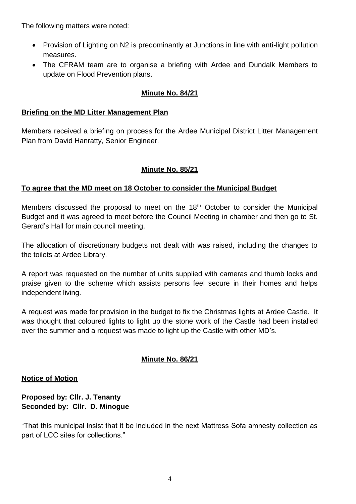The following matters were noted:

- Provision of Lighting on N2 is predominantly at Junctions in line with anti-light pollution measures.
- The CFRAM team are to organise a briefing with Ardee and Dundalk Members to update on Flood Prevention plans.

## **Minute No. 84/21**

#### **Briefing on the MD Litter Management Plan**

Members received a briefing on process for the Ardee Municipal District Litter Management Plan from David Hanratty, Senior Engineer.

## **Minute No. 85/21**

## **To agree that the MD meet on 18 October to consider the Municipal Budget**

Members discussed the proposal to meet on the 18<sup>th</sup> October to consider the Municipal Budget and it was agreed to meet before the Council Meeting in chamber and then go to St. Gerard's Hall for main council meeting.

The allocation of discretionary budgets not dealt with was raised, including the changes to the toilets at Ardee Library.

A report was requested on the number of units supplied with cameras and thumb locks and praise given to the scheme which assists persons feel secure in their homes and helps independent living.

A request was made for provision in the budget to fix the Christmas lights at Ardee Castle. It was thought that coloured lights to light up the stone work of the Castle had been installed over the summer and a request was made to light up the Castle with other MD's.

## **Minute No. 86/21**

#### **Notice of Motion**

#### **Proposed by: Cllr. J. Tenanty Seconded by: Cllr. D. Minogue**

"That this municipal insist that it be included in the next Mattress Sofa amnesty collection as part of LCC sites for collections."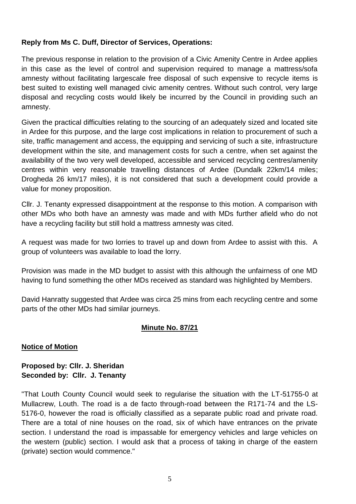#### **Reply from Ms C. Duff, Director of Services, Operations:**

The previous response in relation to the provision of a Civic Amenity Centre in Ardee applies in this case as the level of control and supervision required to manage a mattress/sofa amnesty without facilitating largescale free disposal of such expensive to recycle items is best suited to existing well managed civic amenity centres. Without such control, very large disposal and recycling costs would likely be incurred by the Council in providing such an amnesty.

Given the practical difficulties relating to the sourcing of an adequately sized and located site in Ardee for this purpose, and the large cost implications in relation to procurement of such a site, traffic management and access, the equipping and servicing of such a site, infrastructure development within the site, and management costs for such a centre, when set against the availability of the two very well developed, accessible and serviced recycling centres/amenity centres within very reasonable travelling distances of Ardee (Dundalk 22km/14 miles; Drogheda 26 km/17 miles), it is not considered that such a development could provide a value for money proposition.

Cllr. J. Tenanty expressed disappointment at the response to this motion. A comparison with other MDs who both have an amnesty was made and with MDs further afield who do not have a recycling facility but still hold a mattress amnesty was cited.

A request was made for two lorries to travel up and down from Ardee to assist with this. A group of volunteers was available to load the lorry.

Provision was made in the MD budget to assist with this although the unfairness of one MD having to fund something the other MDs received as standard was highlighted by Members.

David Hanratty suggested that Ardee was circa 25 mins from each recycling centre and some parts of the other MDs had similar journeys.

#### **Minute No. 87/21**

#### **Notice of Motion**

#### **Proposed by: Cllr. J. Sheridan Seconded by: Cllr. J. Tenanty**

"That Louth County Council would seek to regularise the situation with the LT-51755-0 at Mullacrew, Louth. The road is a de facto through-road between the R171-74 and the LS-5176-0, however the road is officially classified as a separate public road and private road. There are a total of nine houses on the road, six of which have entrances on the private section. I understand the road is impassable for emergency vehicles and large vehicles on the western (public) section. I would ask that a process of taking in charge of the eastern (private) section would commence."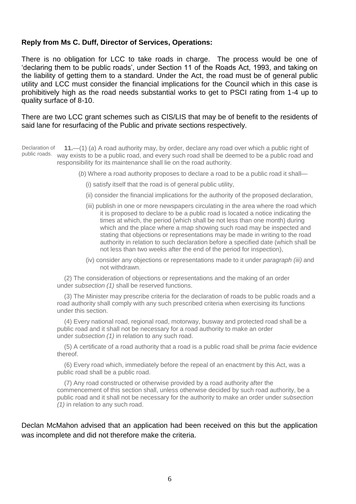#### **Reply from Ms C. Duff, Director of Services, Operations:**

There is no obligation for LCC to take roads in charge. The process would be one of 'declaring them to be public roads', under Section 11 of the Roads Act, 1993, and taking on the liability of getting them to a standard. Under the Act, the road must be of general public utility and LCC must consider the financial implications for the Council which in this case is prohibitively high as the road needs substantial works to get to PSCI rating from 1-4 up to quality surface of 8-10.

There are two LCC grant schemes such as CIS/LIS that may be of benefit to the residents of said lane for resurfacing of the Public and private sections respectively.

Declaration of public roads. way exists to be a public road, and every such road shall be deemed to be a public road and **11.**—(1) (*a*) A road authority may, by order, declare any road over which a public right of responsibility for its maintenance shall lie on the road authority.

(*b*) Where a road authority proposes to declare a road to be a public road it shall—

- (i) satisfy itself that the road is of general public utility,
- (ii) consider the financial implications for the authority of the proposed declaration,
- (iii) publish in one or more newspapers circulating in the area where the road which it is proposed to declare to be a public road is located a notice indicating the times at which, the period (which shall be not less than one month) during which and the place where a map showing such road may be inspected and stating that objections or representations may be made in writing to the road authority in relation to such declaration before a specified date (which shall be not less than two weeks after the end of the period for inspection),
- (iv) consider any objections or representations made to it under *paragraph (iii)* and not withdrawn.

(2) The consideration of objections or representations and the making of an order under *subsection (1)* shall be reserved functions.

(3) The Minister may prescribe criteria for the declaration of roads to be public roads and a road authority shall comply with any such prescribed criteria when exercising its functions under this section.

(4) Every national road, regional road, motorway, busway and protected road shall be a public road and it shall not be necessary for a road authority to make an order under *subsection (1)* in relation to any such road.

(5) A certificate of a road authority that a road is a public road shall be *prima facie* evidence thereof.

(6) Every road which, immediately before the repeal of an enactment by this Act, was a public road shall be a public road.

(7) Any road constructed or otherwise provided by a road authority after the commencement of this section shall, unless otherwise decided by such road authority, be a public road and it shall not be necessary for the authority to make an order under *subsection (1)* in relation to any such road.

Declan McMahon advised that an application had been received on this but the application was incomplete and did not therefore make the criteria.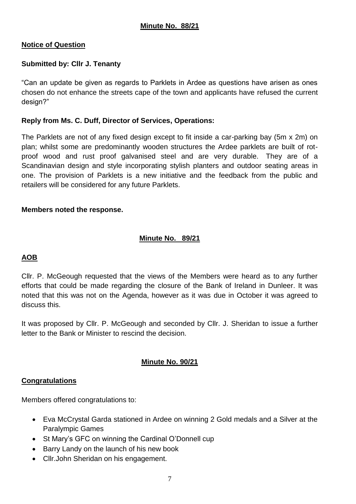## **Notice of Question**

## **Submitted by: Cllr J. Tenanty**

"Can an update be given as regards to Parklets in Ardee as questions have arisen as ones chosen do not enhance the streets cape of the town and applicants have refused the current design?"

## **Reply from Ms. C. Duff, Director of Services, Operations:**

The Parklets are not of any fixed design except to fit inside a car-parking bay (5m x 2m) on plan; whilst some are predominantly wooden structures the Ardee parklets are built of rotproof wood and rust proof galvanised steel and are very durable. They are of a Scandinavian design and style incorporating stylish planters and outdoor seating areas in one. The provision of Parklets is a new initiative and the feedback from the public and retailers will be considered for any future Parklets.

## **Members noted the response.**

## **Minute No. 89/21**

## **AOB**

Cllr. P. McGeough requested that the views of the Members were heard as to any further efforts that could be made regarding the closure of the Bank of Ireland in Dunleer. It was noted that this was not on the Agenda, however as it was due in October it was agreed to discuss this.

It was proposed by Cllr. P. McGeough and seconded by Cllr. J. Sheridan to issue a further letter to the Bank or Minister to rescind the decision.

## **Minute No. 90/21**

## **Congratulations**

Members offered congratulations to:

- Eva McCrystal Garda stationed in Ardee on winning 2 Gold medals and a Silver at the Paralympic Games
- St Mary's GFC on winning the Cardinal O'Donnell cup
- Barry Landy on the launch of his new book
- Cllr.John Sheridan on his engagement.